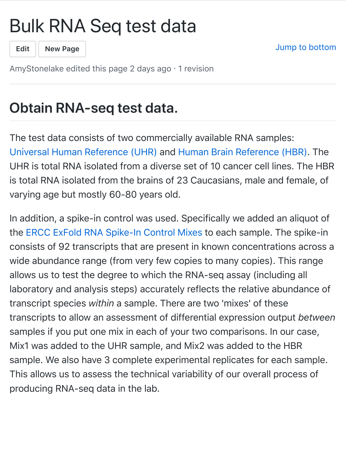## [Bul](https://github.com/AmyStonelake/BTEP/wiki/Bulk-RNA-Seq-test-data/_edit)[k RNA](https://github.com/AmyStonelake/BTEP/wiki/_new) Seq test data



Jump to bottom

AmyStonelake edited this page 2 days ago  $\cdot$  1 revision

## **Obtain RNA-seq test data.**

[The test data consists of two comm](https://github.com/griffithlab/rnaseq_tutorial/wiki/ResourceFiles/UHR.pdf)erc[ially available RNA samples:](https://github.com/griffithlab/rnaseq_tutorial/wiki/ResourceFiles/HBR.pdf) Universal Human Reference (UHR) and Human Brain Reference (HBR). The UHR is total RNA isolated from a diverse set of 10 cancer cell lines. The HBR is total RNA isolated from the brains of 23 Caucasians, male and female, of varying age but mostly 60-80 years old.

In a[ddition, a spike-in control was used. Spec](https://github.com/griffithlab/rnaseq_tutorial/wiki/ResourceFiles/ERCC.pdf)ifically we added an aliquot of the ERCC ExFold RNA Spike-In Control Mixes to each sample. The spike-in consists of 92 transcripts that are present in known concentrations across a wide abundance range (from very few copies to many copies). This range allows us to test the degree to which the RNA-seq assay (including all laboratory and analysis steps) accurately reflects the relative abundance of transcript species *within* a sample. There are two 'mixes' of these transcripts to allow an assessment of differential expression output *between* samples if you put one mix in each of your two comparisons. In our case, Mix1 was added to the UHR sample, and Mix2 was added to the HBR sample. We also have 3 complete experimental replicates for each sample. This allows us to assess the technical variability of our overall process of producing RNA-seq data in the lab.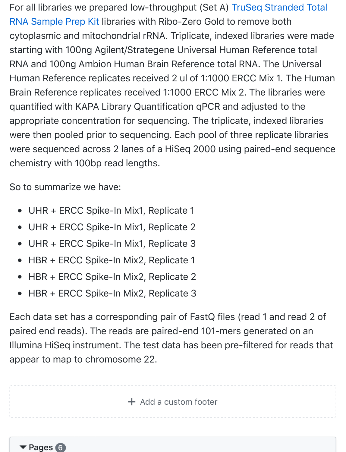[For all libraries we prepared low-throughput \(Set A\) TruSeq Stranded Total](http://products.illumina.com/products/truseq_stranded_total_rna_sample_prep_kit.html) RNA Sample Prep Kit libraries with Ribo-Zero Gold to remove both cytoplasmic and mitochondrial rRNA. Triplicate, indexed libraries were made starting with 100ng Agilent/Strategene Universal Human Reference total RNA and 100ng Ambion Human Brain Reference total RNA. The Universal Human Reference replicates received 2 ul of 1:1000 ERCC Mix 1. The Human Brain Reference replicates received 1:1000 ERCC Mix 2. The libraries were quantified with KAPA Library Quantification qPCR and adjusted to the appropriate concentration for sequencing. The triplicate, indexed libraries were then pooled prior to sequencing. Each pool of three replicate libraries were sequenced across 2 lanes of a HiSeq 2000 using paired-end sequence chemistry with 100bp read lengths.

So to summarize we have:

- UHR + ERCC Spike-In Mix1, Replicate 1  $\bullet$
- UHR + ERCC Spike-In Mix1, Replicate 2
- UHR + ERCC Spike-In Mix1, Replicate 3
- HBR + ERCC Spike-In Mix2, Replicate 1  $\bullet$
- HBR + ERCC Spike-In Mix2, Replicate 2  $\bullet$
- HBR + ERCC Spike-In Mix2, Replicate 3

Each data set has a corresponding pair of FastQ files (read 1 and read 2 of paired end reads). The reads are paired-end 101-mers generated on an Illumina HiSeq instrument. The test data has been pre-filtered for reads that appear to map to chromosome 22.

 $+$  [Add a custom footer](https://github.com/AmyStonelake/BTEP/wiki/_new?wiki%5Bname%5D=_Footer)